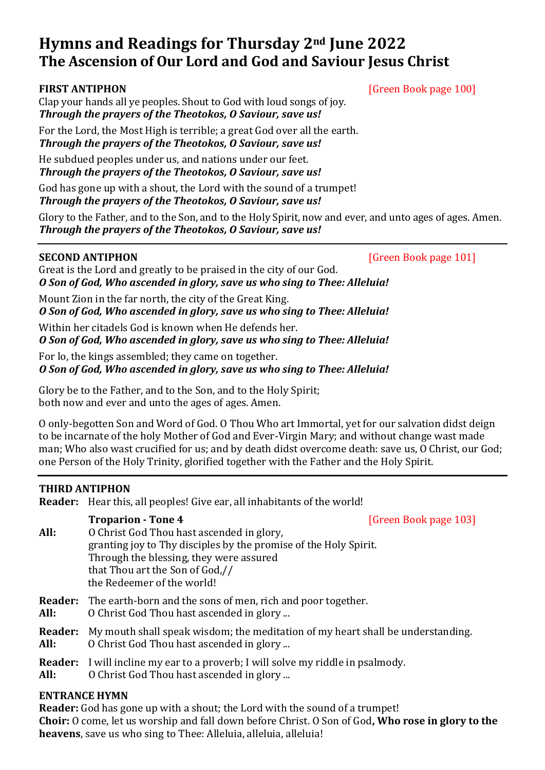# **Hymns and Readings for Thursday 2nd June 2022 The Ascension of Our Lord and God and Saviour Jesus Christ**

# **FIRST ANTIPHON** [Green Book page 100]

Clap your hands all ye peoples. Shout to God with loud songs of joy. *Through the prayers of the Theotokos, O Saviour, save us!*

For the Lord, the Most High is terrible; a great God over all the earth. *Through the prayers of the Theotokos, O Saviour, save us!*

He subdued peoples under us, and nations under our feet. *Through the prayers of the Theotokos, O Saviour, save us!*

God has gone up with a shout, the Lord with the sound of a trumpet! *Through the prayers of the Theotokos, O Saviour, save us!*

Glory to the Father, and to the Son, and to the Holy Spirit, now and ever, and unto ages of ages. Amen. *Through the prayers of the Theotokos, O Saviour, save us!*

**SECOND ANTIPHON** [Green Book page 101]

Great is the Lord and greatly to be praised in the city of our God. *O Son of God, Who ascended in glory, save us who sing to Thee: Alleluia!*

Mount Zion in the far north, the city of the Great King.

*O Son of God, Who ascended in glory, save us who sing to Thee: Alleluia!*

Within her citadels God is known when He defends her.

*O Son of God, Who ascended in glory, save us who sing to Thee: Alleluia!*

For lo, the kings assembled; they came on together.

*O Son of God, Who ascended in glory, save us who sing to Thee: Alleluia!*

Glory be to the Father, and to the Son, and to the Holy Spirit; both now and ever and unto the ages of ages. Amen.

O only-begotten Son and Word of God. O Thou Who art Immortal, yet for our salvation didst deign to be incarnate of the holy Mother of God and Ever-Virgin Mary; and without change wast made man; Who also wast crucified for us; and by death didst overcome death: save us, O Christ, our God; one Person of the Holy Trinity, glorified together with the Father and the Holy Spirit.

# **THIRD ANTIPHON**

**Reader:** Hear this, all peoples! Give ear, all inhabitants of the world!

# **Troparion - Tone 4** [Green Book page 103] **All:** O Christ God Thou hast ascended in glory, granting joy to Thy disciples by the promise of the Holy Spirit. Through the blessing, they were assured that Thou art the Son of God,// the Redeemer of the world!

**Reader:** The earth-born and the sons of men, rich and poor together.

- **All:** O Christ God Thou hast ascended in glory ...
- **Reader:** My mouth shall speak wisdom; the meditation of my heart shall be understanding.
- **All:** O Christ God Thou hast ascended in glory ...
- **Reader:** I will incline my ear to a proverb; I will solve my riddle in psalmody.
- **All:** O Christ God Thou hast ascended in glory ...

# **ENTRANCE HYMN**

**Reader:** God has gone up with a shout; the Lord with the sound of a trumpet! **Choir:** O come, let us worship and fall down before Christ. O Son of God**, Who rose in glory to the heavens**, save us who sing to Thee: Alleluia, alleluia, alleluia!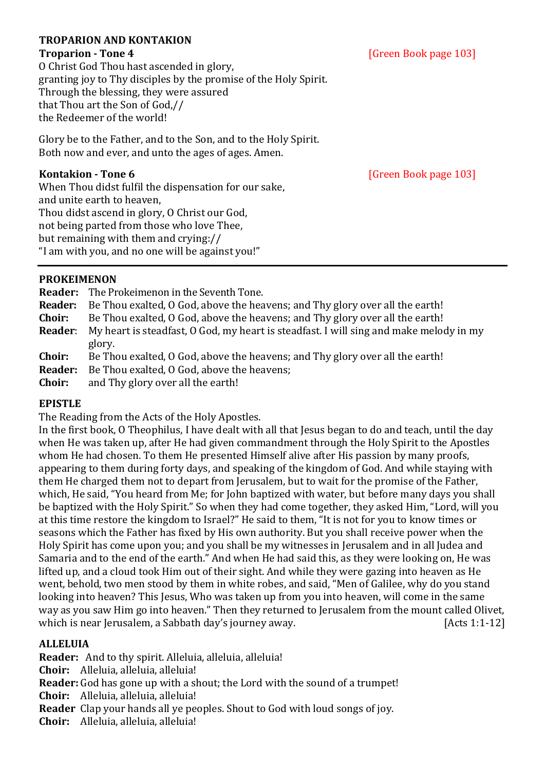## **TROPARION AND KONTAKION**

O Christ God Thou hast ascended in glory, granting joy to Thy disciples by the promise of the Holy Spirit. Through the blessing, they were assured that Thou art the Son of God,// the Redeemer of the world!

Glory be to the Father, and to the Son, and to the Holy Spirit. Both now and ever, and unto the ages of ages. Amen.

When Thou didst fulfil the dispensation for our sake, and unite earth to heaven, Thou didst ascend in glory, O Christ our God, not being parted from those who love Thee, but remaining with them and crying:// "I am with you, and no one will be against you!"

**PROKEIMENON**

|                | <b>Reader:</b> The Prokeimenon in the Seventh Tone.                                    |
|----------------|----------------------------------------------------------------------------------------|
| <b>Reader:</b> | Be Thou exalted, O God, above the heavens; and Thy glory over all the earth!           |
| Choir:         | Be Thou exalted, O God, above the heavens; and Thy glory over all the earth!           |
| <b>Reader:</b> | My heart is steadfast, O God, my heart is steadfast. I will sing and make melody in my |
|                | glory.                                                                                 |
| Choir:         | Be Thou exalted, O God, above the heavens; and Thy glory over all the earth!           |
| <b>Reader:</b> | Be Thou exalted, O God, above the heavens;                                             |
| <b>Choir:</b>  | and Thy glory over all the earth!                                                      |

**EPISTLE**

The Reading from the Acts of the Holy Apostles.

In the first book, O Theophilus, I have dealt with all that Jesus began to do and teach, until the day when He was taken up, after He had given commandment through the Holy Spirit to the Apostles whom He had chosen. To them He presented Himself alive after His passion by many proofs, appearing to them during forty days, and speaking of the kingdom of God. And while staying with them He charged them not to depart from Jerusalem, but to wait for the promise of the Father, which, He said, "You heard from Me; for John baptized with water, but before many days you shall be baptized with the Holy Spirit." So when they had come together, they asked Him, "Lord, will you at this time restore the kingdom to Israel?" He said to them, "It is not for you to know times or seasons which the Father has fixed by His own authority. But you shall receive power when the Holy Spirit has come upon you; and you shall be my witnesses in Jerusalem and in all Judea and Samaria and to the end of the earth." And when He had said this, as they were looking on, He was lifted up, and a cloud took Him out of their sight. And while they were gazing into heaven as He went, behold, two men stood by them in white robes, and said, "Men of Galilee, why do you stand looking into heaven? This Jesus, Who was taken up from you into heaven, will come in the same way as you saw Him go into heaven." Then they returned to Jerusalem from the mount called Olivet, which is near Jerusalem, a Sabbath day's journey away. [Acts 1:1-12]

# **ALLELUIA**

**Reader:** And to thy spirit. Alleluia, alleluia, alleluia!

**Choir:** Alleluia, alleluia, alleluia!

**Reader:** God has gone up with a shout; the Lord with the sound of a trumpet!

**Choir:** Alleluia, alleluia, alleluia!

**Reader** Clap your hands all ye peoples. Shout to God with loud songs of joy.

**Choir:** Alleluia, alleluia, alleluia!

**Kontakion - Tone 6** [Green Book page 103]